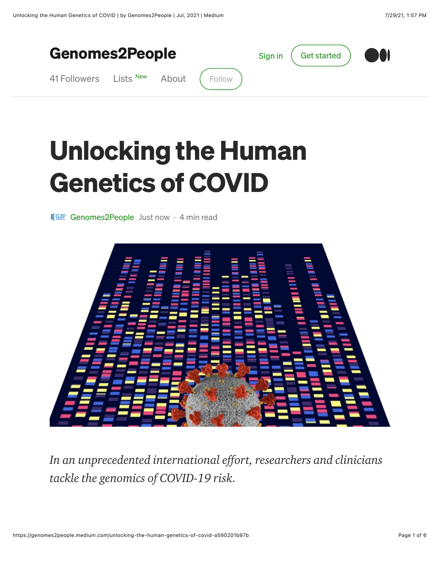

## **Unlocking the Human Genetics of COVID**

§92P Genomes2People Just now · 4 min read



In an unprecedented international effort, researchers and clinicians tackle the genomics of COVID-19 risk.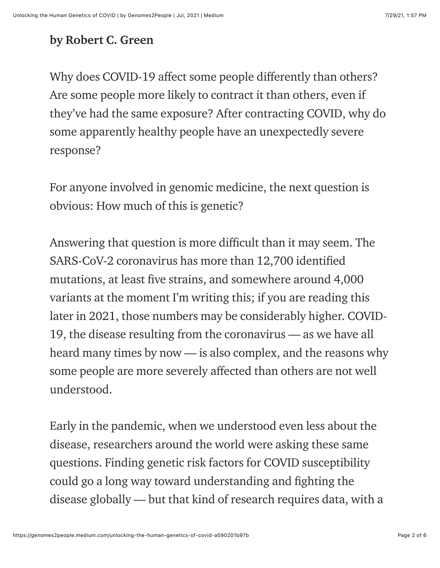## by Robert C. Green

Why does COVID-19 affect some people differently than others? Are some people more likely to contract it than others, even if they've had the same exposure? After contracting COVID, why do some apparently healthy people have an unexpectedly severe response?

For anyone involved in genomic medicine, the next question is obvious: How much of this is genetic?

Answering that question is more difficult than it may seem. The SARS-CoV-2 coronavirus has more than 12,700 identified mutations, at least five strains, and somewhere around 4,000 variants at the moment I'm writing this; if you are reading this later in 2021, those numbers may be considerably higher. COVID-19, the disease resulting from the coronavirus — as we have all heard many times by now — is also complex, and the reasons why some people are more severely affected than others are not well understood.

Early in the pandemic, when we understood even less about the disease, researchers around the world were asking these same questions. Finding genetic risk factors for COVID susceptibility could go a long way toward understanding and fighting the disease globally — but that kind of research requires data, with a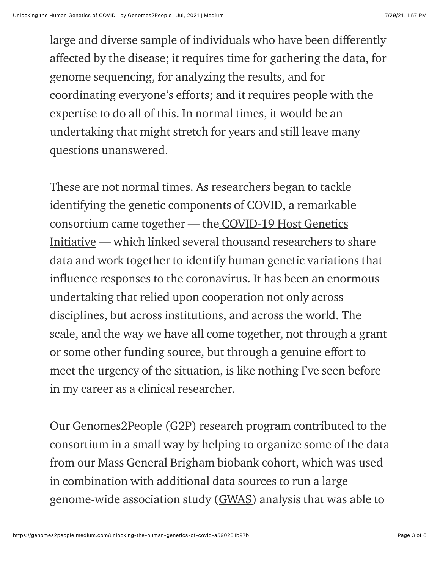large and diverse sample of individuals who have been differently affected by the disease; it requires time for gathering the data, for genome sequencing, for analyzing the results, and for coordinating everyone's efforts; and it requires people with the expertise to do all of this. In normal times, it would be an undertaking that might stretch for years and still leave many questions unanswered.

These are not normal times. As researchers began to tackle identifying the genetic components of COVID, a remarkable consortium came together — the COVID-19 Host Genetics [Initiative — which linked several thousand researchers to s](https://www.covid19hg.org/)hare data and work together to identify human genetic variations that influence responses to the coronavirus. It has been an enormous undertaking that relied upon cooperation not only across disciplines, but across institutions, and across the world. The scale, and the way we have all come together, not through a grant or some other funding source, but through a genuine effort to meet the urgency of the situation, is like nothing I've seen before in my career as a clinical researcher.

Our [Genomes2People](https://www.genomes2people.org/) (G2P) research program contributed to the consortium in a small way by helping to organize some of the data from our Mass General Brigham biobank cohort, which was used in combination with additional data sources to run a large genome-wide association study ([GWAS\)](https://www.broadinstitute.org/visuals/explainer-genome-wide-association-studies) analysis that was able to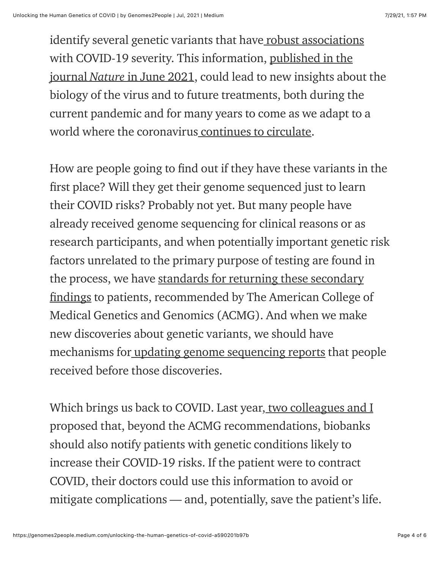identify several genetic variants that have [robust associations](https://www.covid19hg.org/blog/2020-11-24-covid-19-hgi-results-for-data-freeze-4-october-2020/) [with COVID-19 severity. This information, published in the](https://www.genomes2people.org/wp-content/uploads/2021/07/20210708_nature_COVID-19hg_MappingHumanGeneticArchitectureOfCOVID-19.pdf) journal Nature in June 2021, could lead to new insights about the biology of the virus and to future treatments, both during the current pandemic and for many years to come as we adapt to a world where the coronavirus [continues to circulate](https://www.nytimes.com/2021/05/03/health/covid-herd-immunity-vaccine.html).

How are people going to find out if they have these variants in the first place? Will they get their genome sequenced just to learn their COVID risks? Probably not yet. But many people have already received genome sequencing for clinical reasons or as research participants, and when potentially important genetic risk factors unrelated to the primary purpose of testing are found in the process, we have standards for returning these secondary findings to patients, recommended by The American College of Medical Genetics and Genomics (ACMG). And when we make new discoveries about genetic variants, we should have mechanisms for [updating genome sequencing reports](https://genomes2people.medium.com/how-frequently-should-genomic-results-be-updated-548cf2fcc9b8) that people received before those discoveries.

Which brings us back to COVID. Last year[, two colleagues and I](https://www.genomes2people.org/wp-content/uploads/2020/06/20200615_Biobank_Nautre_BIoabnksIdentifyFindingsforCovid.pdf) proposed that, beyond the ACMG recommendations, biobanks should also notify patients with genetic conditions likely to increase their COVID-19 risks. If the patient were to contract COVID, their doctors could use this information to avoid or mitigate complications — and, potentially, save the patient's life.